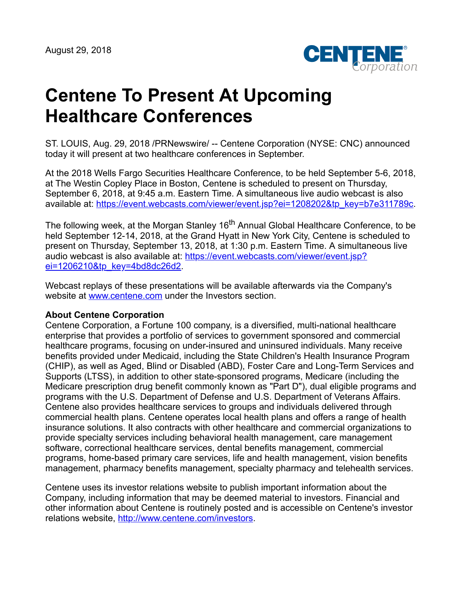

## **Centene To Present At Upcoming Healthcare Conferences**

ST. LOUIS, Aug. 29, 2018 /PRNewswire/ -- Centene Corporation (NYSE: CNC) announced today it will present at two healthcare conferences in September.

At the 2018 Wells Fargo Securities Healthcare Conference, to be held September 5-6, 2018, at The Westin Copley Place in Boston, Centene is scheduled to present on Thursday, September 6, 2018, at 9:45 a.m. Eastern Time. A simultaneous live audio webcast is also available at: [https://event.webcasts.com/viewer/event.jsp?ei=1208202&tp\\_key=b7e311789c.](https://event.webcasts.com/viewer/event.jsp?ei=1208202&tp_key=b7e311789c)

The following week, at the Morgan Stanley 16<sup>th</sup> Annual Global Healthcare Conference, to be held September 12-14, 2018, at the Grand Hyatt in New York City, Centene is scheduled to present on Thursday, September 13, 2018, at 1:30 p.m. Eastern Time. A simultaneous live [audio webcast is also available at: https://event.webcasts.com/viewer/event.jsp?](https://event.webcasts.com/viewer/event.jsp?ei=1206210&tp_key=4bd8dc26d2) ei=1206210&tp\_key=4bd8dc26d2.

Webcast replays of these presentations will be available afterwards via the Company's website at [www.centene.com](http://www.centene.com/) under the Investors section.

## **About Centene Corporation**

Centene Corporation, a Fortune 100 company, is a diversified, multi-national healthcare enterprise that provides a portfolio of services to government sponsored and commercial healthcare programs, focusing on under-insured and uninsured individuals. Many receive benefits provided under Medicaid, including the State Children's Health Insurance Program (CHIP), as well as Aged, Blind or Disabled (ABD), Foster Care and Long-Term Services and Supports (LTSS), in addition to other state-sponsored programs, Medicare (including the Medicare prescription drug benefit commonly known as "Part D"), dual eligible programs and programs with the U.S. Department of Defense and U.S. Department of Veterans Affairs. Centene also provides healthcare services to groups and individuals delivered through commercial health plans. Centene operates local health plans and offers a range of health insurance solutions. It also contracts with other healthcare and commercial organizations to provide specialty services including behavioral health management, care management software, correctional healthcare services, dental benefits management, commercial programs, home-based primary care services, life and health management, vision benefits management, pharmacy benefits management, specialty pharmacy and telehealth services.

Centene uses its investor relations website to publish important information about the Company, including information that may be deemed material to investors. Financial and other information about Centene is routinely posted and is accessible on Centene's investor relations website, <http://www.centene.com/investors>.